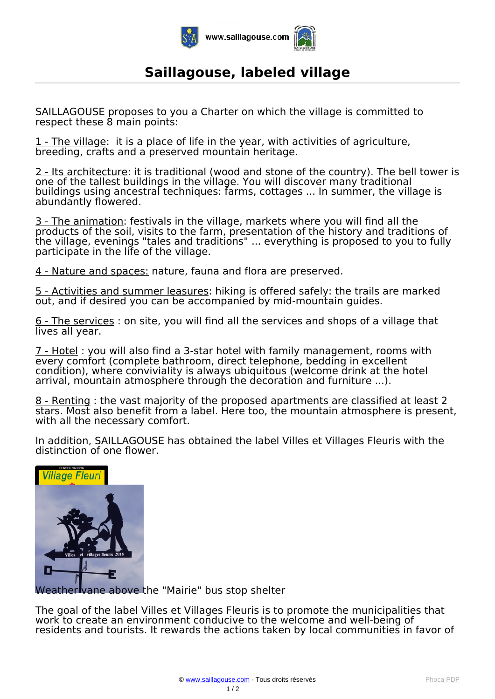

## **Saillagouse, labeled village**

*SAILLAGOUSE proposes to you a Charter on which the village is committed to respect these 8 main points:*

*1 - The village: it is a place of life in the year, with activities of agriculture, breeding, crafts and a preserved mountain heritage.*

*2 - Its architecture: it is traditional (wood and stone of the country). The bell tower is one of the tallest buildings in the village. You will discover many traditional buildings using ancestral techniques: farms, cottages ... In summer, the village is abundantly flowered.*

*3 - The animation: festivals in the village, markets where you will find all the products of the soil, visits to the farm, presentation of the history and traditions of the village, evenings "tales and traditions" ... everything is proposed to you to fully participate in the life of the village.*

*4 - Nature and spaces: nature, fauna and flora are preserved.*

*5 - Activities and summer leasures: hiking is offered safely: the trails are marked out, and if desired you can be accompanied by mid-mountain guides.*

*6 - The services : on site, you will find all the services and shops of a village that lives all year.*

*7 - Hotel : you will also find a 3-star hotel with family management, rooms with every comfort (complete bathroom, direct telephone, bedding in excellent condition), where conviviality is always ubiquitous (welcome drink at the hotel arrival, mountain atmosphere through the decoration and furniture ...).*

*8 - Renting : the vast majority of the proposed apartments are classified at least 2 stars. Most also benefit from a label. Here too, the mountain atmosphere is present, with all the necessary comfort.*

*In addition, SAILLAGOUSE has obtained the label Villes et Villages Fleuris with the distinction of one flower.*



*Weather vane above the "Mairie" bus stop shelter*

*The goal of the label Villes et Villages Fleuris is to promote the municipalities that work to create an environment conducive to the welcome and well-being of residents and tourists. It rewards the actions taken by local communities in favor of*